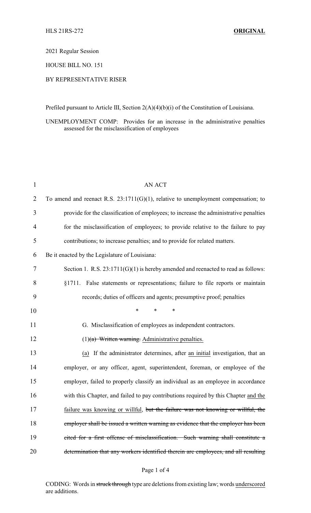2021 Regular Session

HOUSE BILL NO. 151

## BY REPRESENTATIVE RISER

Prefiled pursuant to Article III, Section 2(A)(4)(b)(i) of the Constitution of Louisiana.

UNEMPLOYMENT COMP: Provides for an increase in the administrative penalties assessed for the misclassification of employees

| 1              | <b>AN ACT</b>                                                                         |
|----------------|---------------------------------------------------------------------------------------|
| $\overline{2}$ | To amend and reenact R.S. $23:1711(G)(1)$ , relative to unemployment compensation; to |
| 3              | provide for the classification of employees; to increase the administrative penalties |
| $\overline{4}$ | for the misclassification of employees; to provide relative to the failure to pay     |
| 5              | contributions; to increase penalties; and to provide for related matters.             |
| 6              | Be it enacted by the Legislature of Louisiana:                                        |
| 7              | Section 1. R.S. $23:1711(G)(1)$ is hereby amended and reenacted to read as follows:   |
| 8              | §1711. False statements or representations; failure to file reports or maintain       |
| 9              | records; duties of officers and agents; presumptive proof; penalties                  |
| 10             | $\ast$<br>*<br>$\ast$                                                                 |
| 11             | G. Misclassification of employees as independent contractors.                         |
| 12             | $(1)(a)$ Written warning. Administrative penalties.                                   |
| 13             | (a) If the administrator determines, after an initial investigation, that an          |
| 14             | employer, or any officer, agent, superintendent, foreman, or employee of the          |
| 15             | employer, failed to properly classify an individual as an employee in accordance      |
| 16             | with this Chapter, and failed to pay contributions required by this Chapter and the   |
| 17             | failure was knowing or willful, but the failure was not knowing or willful, the       |
| 18             | employer shall be issued a written warning as evidence that the employer has been     |
| 19             | cited for a first offense of misclassification. Such warning shall constitute a       |
| 20             | determination that any workers identified therein are employees, and all resulting    |

CODING: Words in struck through type are deletions from existing law; words underscored are additions.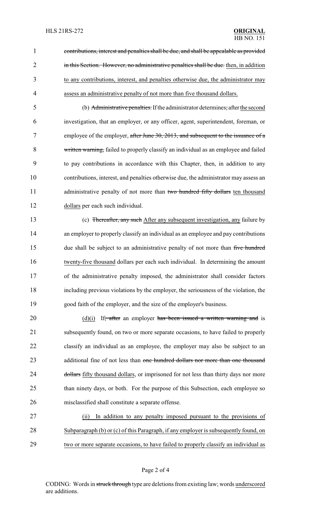contributions, interest and penalties shall be due, and shall be appealable as provided 2 in this Section. However, no administrative penalties shall be due, then, in addition to any contributions, interest, and penalties otherwise due, the administrator may assess an administrative penalty of not more than five thousand dollars.

 (b) Administrative penalties. If the administrator determines, afterthe second investigation, that an employer, or any officer, agent, superintendent, foreman, or 7 employee of the employer, after June 30, 2013, and subsequent to the issuance of a written warning, failed to properly classify an individual as an employee and failed to pay contributions in accordance with this Chapter, then, in addition to any contributions, interest, and penalties otherwise due, the administrator may assess an 11 administrative penalty of not more than two hundred fifty dollars ten thousand dollars per each such individual.

 (c) Thereafter, any such After any subsequent investigation, any failure by an employer to properly classify an individual as an employee and pay contributions 15 due shall be subject to an administrative penalty of not more than five hundred twenty-five thousand dollars per each such individual. In determining the amount of the administrative penalty imposed, the administrator shall consider factors including previous violations by the employer, the seriousness of the violation, the good faith of the employer, and the size of the employer's business.

20  $(d)(i)$  If, after an employer has been issued a written warning and is subsequently found, on two or more separate occasions, to have failed to properly classify an individual as an employee, the employer may also be subject to an 23 additional fine of not less than one hundred dollars nor more than one thousand 24 dollars fifty thousand dollars, or imprisoned for not less than thirty days nor more 25 than ninety days, or both. For the purpose of this Subsection, each employee so misclassified shall constitute a separate offense.

 (ii) In addition to any penalty imposed pursuant to the provisions of Subparagraph (b) or (c) of this Paragraph, if any employer is subsequently found, on two or more separate occasions, to have failed to properly classify an individual as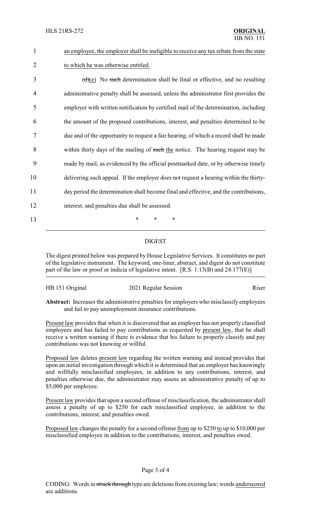| $\mathbf{1}$   | an employee, the employer shall be ineligible to receive any tax rebate from the state |
|----------------|----------------------------------------------------------------------------------------|
| $\overline{2}$ | to which he was otherwise entitled.                                                    |
| 3              | $(d)(e)$ No such determination shall be final or effective, and no resulting           |
| 4              | administrative penalty shall be assessed, unless the administrator first provides the  |
| 5              | employer with written notification by certified mail of the determination, including   |
| 6              | the amount of the proposed contributions, interest, and penalties determined to be     |
| 7              | due and of the opportunity to request a fair hearing, of which a record shall be made  |
| 8              | within thirty days of the mailing of such the notice. The hearing request may be       |
| 9              | made by mail, as evidenced by the official postmarked date, or by otherwise timely     |
| 10             | delivering such appeal. If the employer does not request a hearing within the thirty-  |
| 11             | day period the determination shall become final and effective, and the contributions,  |
| 12             | interest, and penalties due shall be assessed.                                         |
| 13             | *<br>*                                                                                 |
|                |                                                                                        |

## DIGEST

The digest printed below was prepared by House Legislative Services. It constitutes no part of the legislative instrument. The keyword, one-liner, abstract, and digest do not constitute part of the law or proof or indicia of legislative intent. [R.S. 1:13(B) and 24:177(E)]

| HB 151 Original | 2021 Regular Session | Riser |
|-----------------|----------------------|-------|
|                 |                      |       |

**Abstract:** Increases the administrative penalties for employers who misclassify employees and fail to pay unemployment insurance contributions.

Present law provides that when it is discovered that an employer has not properly classified employees and has failed to pay contributions as requested by present law, that he shall receive a written warning if there is evidence that his failure to properly classify and pay contributions was not knowing or willful.

Proposed law deletes present law regarding the written warning and instead provides that upon an initial investigation through which it is determined that an employer has knowingly and willfully misclassified employees, in addition to any contributions, interest, and penalties otherwise due, the administrator may assess an administrative penalty of up to \$5,000 per employee.

Present law provides that upon a second offense of misclassification, the administrator shall assess a penalty of up to \$250 for each misclassified employee, in addition to the contributions, interest, and penalties owed.

Proposed law changes the penalty for a second offense from up to \$250 to up to \$10,000 per misclassified employee in addition to the contributions, interest, and penalties owed.